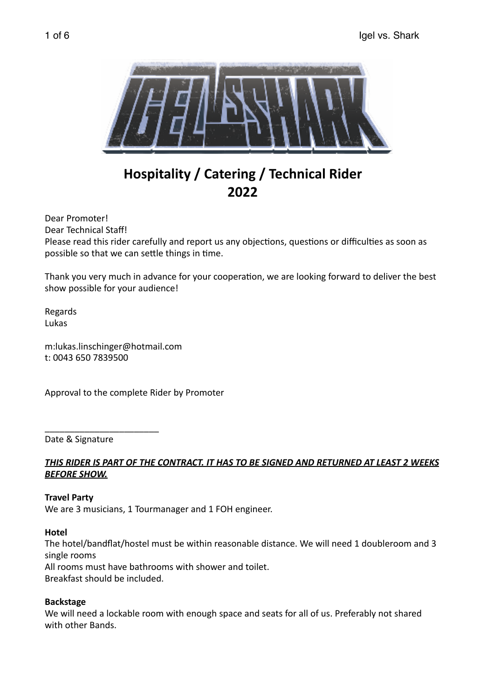

# **Hospitality / Catering / Technical Rider 2022**

Dear Promoter! Dear Technical Staff! Please read this rider carefully and report us any objections, questions or difficulties as soon as possible so that we can settle things in time.

Thank you very much in advance for your cooperation, we are looking forward to deliver the best show possible for your audience!

Regards Lukas 

m:lukas.linschinger@hotmail.com t: 0043 650 7839500 

Approval to the complete Rider by Promoter

Date & Signature

\_\_\_\_\_\_\_\_\_\_\_\_\_\_\_\_\_\_\_\_\_\_\_ 

## THIS RIDER IS PART OF THE CONTRACT. IT HAS TO BE SIGNED AND RETURNED AT LEAST 2 WEEKS **BEFORE SHOW.**

#### **Travel Party**

We are 3 musicians, 1 Tourmanager and 1 FOH engineer.

#### **Hotel**

The hotel/bandflat/hostel must be within reasonable distance. We will need 1 doubleroom and 3 single rooms All rooms must have bathrooms with shower and toilet. Breakfast should be included.

#### **Backstage**

We will need a lockable room with enough space and seats for all of us. Preferably not shared with other Bands.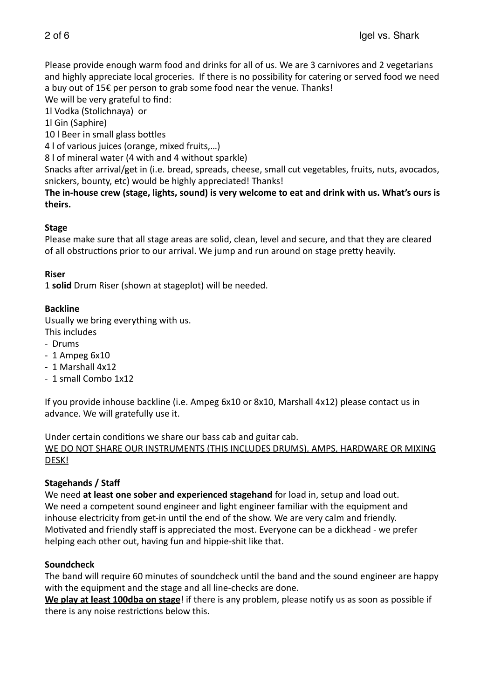Please provide enough warm food and drinks for all of us. We are 3 carnivores and 2 vegetarians and highly appreciate local groceries. If there is no possibility for catering or served food we need a buy out of  $15\epsilon$  per person to grab some food near the venue. Thanks!

We will be very grateful to find:

1l Vodka (Stolichnaya) or

1l Gin (Saphire)

10 | Beer in small glass bottles

4 I of various juices (orange, mixed fruits,...)

8 I of mineral water (4 with and 4 without sparkle)

Snacks after arrival/get in (i.e. bread, spreads, cheese, small cut vegetables, fruits, nuts, avocados, snickers, bounty, etc) would be highly appreciated! Thanks!

The in-house crew (stage, lights, sound) is very welcome to eat and drink with us. What's ours is **theirs.** 

# **Stage**

Please make sure that all stage areas are solid, clean, level and secure, and that they are cleared of all obstructions prior to our arrival. We jump and run around on stage pretty heavily.

## **Riser**

1 solid Drum Riser (shown at stageplot) will be needed.

# **Backline**

Usually we bring everything with us.

- This includes
- Drums
- $-1$  Ampeg  $6x10$
- 1 Marshall 4x12
- 1 small Combo 1x12

If you provide inhouse backline (i.e. Ampeg  $6x10$  or  $8x10$ , Marshall  $4x12$ ) please contact us in advance. We will gratefully use it.

Under certain conditions we share our bass cab and guitar cab.

WE DO NOT SHARE OUR INSTRUMENTS (THIS INCLUDES DRUMS), AMPS, HARDWARE OR MIXING DESK! 

## **Stagehands / Staff**

We need at least one sober and experienced stagehand for load in, setup and load out. We need a competent sound engineer and light engineer familiar with the equipment and inhouse electricity from get-in until the end of the show. We are very calm and friendly. Motivated and friendly staff is appreciated the most. Everyone can be a dickhead - we prefer helping each other out, having fun and hippie-shit like that.

## **Soundcheck**

The band will require 60 minutes of soundcheck until the band and the sound engineer are happy with the equipment and the stage and all line-checks are done.

**We play at least 100dba on stage**! if there is any problem, please notify us as soon as possible if there is any noise restrictions below this.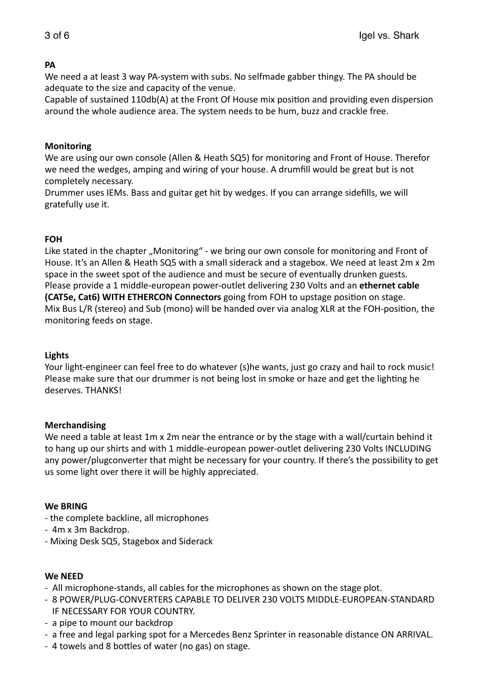## **PA**

We need a at least 3 way PA-system with subs. No selfmade gabber thingy. The PA should be adequate to the size and capacity of the venue.

Capable of sustained 110db(A) at the Front Of House mix position and providing even dispersion around the whole audience area. The system needs to be hum, buzz and crackle free.

## **Monitoring**

We are using our own console (Allen & Heath SQ5) for monitoring and Front of House. Therefor we need the wedges, amping and wiring of your house. A drumfill would be great but is not completely necessary.

Drummer uses IEMs. Bass and guitar get hit by wedges. If you can arrange sidefills, we will gratefully use it.

## **FOH**

Like stated in the chapter "Monitoring" - we bring our own console for monitoring and Front of House. It's an Allen & Heath SQ5 with a small siderack and a stagebox. We need at least 2m x 2m space in the sweet spot of the audience and must be secure of eventually drunken guests. Please provide a 1 middle-european power-outlet delivering 230 Volts and an ethernet cable **(CAT5e, Cat6) WITH ETHERCON Connectors** going from FOH to upstage position on stage. Mix Bus L/R (stereo) and Sub (mono) will be handed over via analog XLR at the FOH-position, the monitoring feeds on stage.

#### **Lights**

Your light-engineer can feel free to do whatever (s)he wants, just go crazy and hail to rock music! Please make sure that our drummer is not being lost in smoke or haze and get the lighting he deserves. THANKS!

#### **Merchandising**

We need a table at least 1m x 2m near the entrance or by the stage with a wall/curtain behind it to hang up our shirts and with 1 middle-european power-outlet delivering 230 Volts INCLUDING any power/plugconverter that might be necessary for your country. If there's the possibility to get us some light over there it will be highly appreciated.

#### **We BRING**

- the complete backline, all microphones
- 4m x 3m Backdrop.
- Mixing Desk SQ5, Stagebox and Siderack

#### **We NEED**

- All microphone-stands, all cables for the microphones as shown on the stage plot.
- 8 POWER/PLUG-CONVERTERS CAPABLE TO DELIVER 230 VOLTS MIDDLE-EUROPEAN-STANDARD IF NECESSARY FOR YOUR COUNTRY.
- a pipe to mount our backdrop
- a free and legal parking spot for a Mercedes Benz Sprinter in reasonable distance ON ARRIVAL.
- 4 towels and 8 bottles of water (no gas) on stage.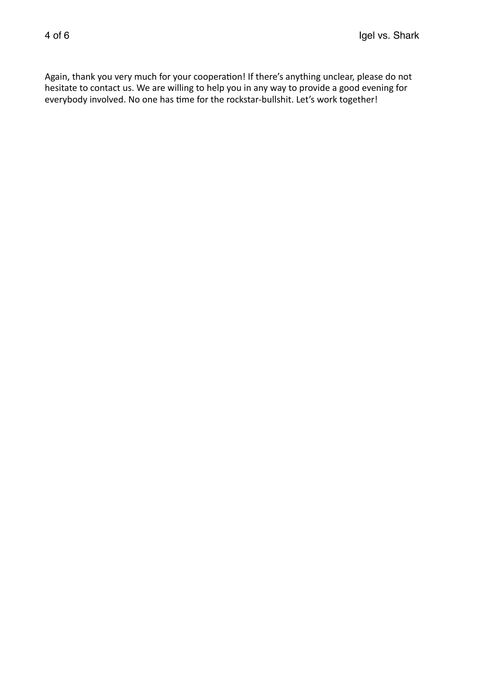Again, thank you very much for your cooperation! If there's anything unclear, please do not hesitate to contact us. We are willing to help you in any way to provide a good evening for everybody involved. No one has time for the rockstar-bullshit. Let's work together!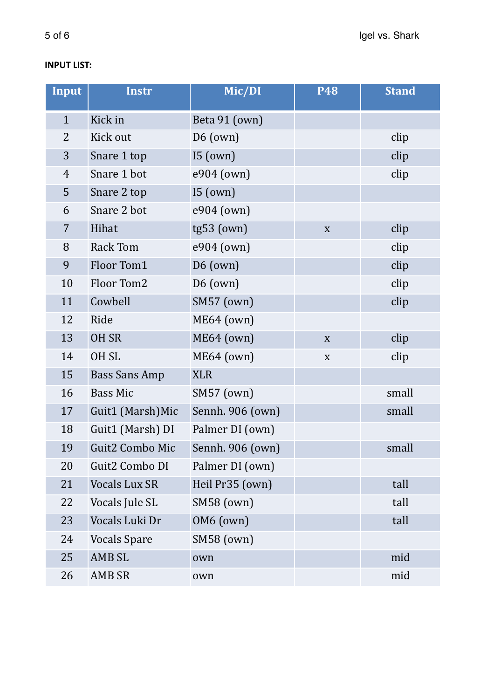# **INPUT LIST:**

| <b>Input</b>   | <b>Instr</b>         | Mic/DI            | <b>P48</b>  | <b>Stand</b> |
|----------------|----------------------|-------------------|-------------|--------------|
| $\mathbf{1}$   | Kick in              | Beta 91 (own)     |             |              |
| 2              | Kick out             | $D6$ (own)        |             | clip         |
| 3              | Snare 1 top          | I5(own)           |             | clip         |
| $\overline{4}$ | Snare 1 bot          | e904 (own)        |             | clip         |
| 5              | Snare 2 top          | 15 (own)          |             |              |
| 6              | Snare 2 bot          | e904 (own)        |             |              |
| 7              | Hihat                | $tg53$ (own)      | $\mathbf X$ | clip         |
| 8              | <b>Rack Tom</b>      | e904 (own)        |             | clip         |
| 9              | Floor Tom1           | $D6$ (own)        |             | clip         |
| 10             | Floor Tom2           | $D6$ (own)        |             | clip         |
| 11             | Cowbell              | <b>SM57</b> (own) |             | clip         |
| 12             | Ride                 | ME64 (own)        |             |              |
| 13             | OH SR                | ME64 (own)        | $\mathbf X$ | clip         |
| 14             | OH <sub>SL</sub>     | ME64 (own)        | $\mathbf X$ | clip         |
| 15             | <b>Bass Sans Amp</b> | <b>XLR</b>        |             |              |
| 16             | <b>Bass Mic</b>      | <b>SM57</b> (own) |             | small        |
| 17             | Guit1 (Marsh)Mic     | Sennh. 906 (own)  |             | small        |
| 18             | Guit1 (Marsh) DI     | Palmer DI (own)   |             |              |
| 19             | Guit2 Combo Mic      | Sennh. 906 (own)  |             | small        |
| 20             | Guit2 Combo DI       | Palmer DI (own)   |             |              |
| 21             | <b>Vocals Lux SR</b> | Heil Pr35 (own)   |             | tall         |
| 22             | Vocals Jule SL       | SM58 (own)        |             | tall         |
| 23             | Vocals Luki Dr       | OM6 (own)         |             | tall         |
| 24             | <b>Vocals Spare</b>  | <b>SM58 (own)</b> |             |              |
| 25             | <b>AMB SL</b>        | own               |             | mid          |
| 26             | AMB SR               | own               |             | mid          |